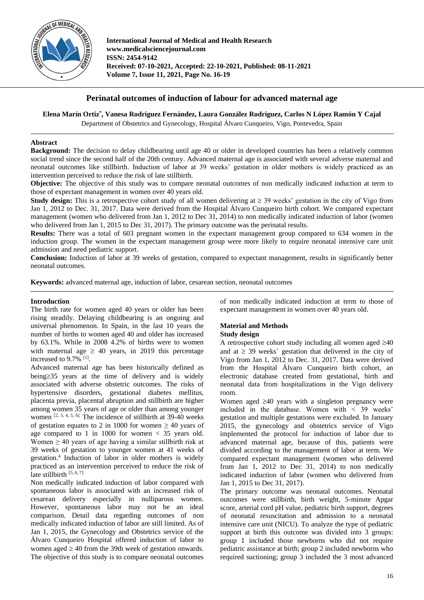

**International Journal of Medical and Health Research www.medicalsciencejournal.com ISSN: 2454-9142 Received: 07-10-2021, Accepted: 22-10-2021, Published: 08-11-2021 Volume 7, Issue 11, 2021, Page No. 16-19**

# **Perinatal outcomes of induction of labour for advanced maternal age**

**Elena Marín Ortiz\* , Vanesa Rodríguez Fernández, Laura González Rodríguez, Carlos N López Ramón Y Cajal**

Department of Obstetrics and Gynecology, Hospital Álvaro Cunqueiro, Vigo, Pontevedra, Spain

### **Abstract**

**Background:** The decision to delay childbearing until age 40 or older in developed countries has been a relatively common social trend since the second half of the 20th century. Advanced maternal age is associated with several adverse maternal and neonatal outcomes like stillbirth. Induction of labor at 39 weeks' gestation in older mothers is widely practiced as an intervention perceived to reduce the risk of late stillbirth.

**Objective:** The objective of this study was to compare neonatal outcomes of non medically indicated induction at term to those of expectant management in women over 40 years old.

**Study design:** This is a retrospective cohort study of all women delivering at  $\geq$  39 weeks' gestation in the city of Vigo from Jan 1, 2012 to Dec. 31, 2017. Data were derived from the Hospital Álvaro Cunqueiro birth cohort. We compared expectant management (women who delivered from Jan 1, 2012 to Dec 31, 2014) to non medically indicated induction of labor (women who delivered from Jan 1, 2015 to Dec 31, 2017). The primary outcome was the perinatal results.

**Results:** There was a total of 603 pregnant women in the expectant management group compared to 634 women in the induction group. The women in the expectant management group were more likely to require neonatal intensive care unit admission and need pediatric support.

**Conclusion:** Induction of labor at 39 weeks of gestation, compared to expectant management, results in significantly better neonatal outcomes.

**Keywords:** advanced maternal age, induction of labor, cesarean section, neonatal outcomes

### **Introduction**

The birth rate for women aged 40 years or older has been rising steadily. Delaying childbearing is an ongoing and universal phenomenon. In Spain, in the last 10 years the number of births to women aged 40 and older has increased by 63.1%. While in 2008 4.2% of births were to women with maternal age  $\geq 40$  years, in 2019 this percentage increased to 9.7% <sup>[1]</sup>.

Advanced maternal age has been historically defined as being $\geq$ 35 years at the time of delivery and is widely associated with adverse obstetric outcomes. The risks of hypertensive disorders, gestational diabetes mellitus, placenta previa, placental abruption and stillbirth are higher among women 35 years of age or older than among younger women  $[2, 3, 4, 5, 6]$ . The incidence of stillbirth at 39-40 weeks of gestation equates to 2 in 1000 for women  $\geq 40$  years of age compared to 1 in 1000 for women  $<$  35 years old. Women  $\geq 40$  years of age having a similar stillbirth risk at 39 weeks of gestation to younger women at 41 weeks of gestation.<sup>4</sup> Induction of labor in older mothers is widely practiced as an intervention perceived to reduce the risk of late stillbirth  $[5, 6, 7]$ 

Non medically indicated induction of labor compared with spontaneous labor is associated with an increased risk of cesarean delivery especially in nulliparous women. However, spontaneous labor may not be an ideal comparison. Detail data regarding outcomes of non medically indicated induction of labor are still limited. As of Jan 1, 2015, the Gynecology and Obstetrics service of the Álvaro Cunqueiro Hospital offered induction of labor to women aged  $\geq 40$  from the 39th week of gestation onwards. The objective of this study is to compare neonatal outcomes of non medically indicated induction at term to those of expectant management in women over 40 years old.

## **Material and Methods Study design**

A retrospective cohort study including all women aged  $\geq 40$ and at  $\geq$  39 weeks' gestation that delivered in the city of Vigo from Jan 1, 2012 to Dec. 31, 2017. Data were derived from the Hospital Álvaro Cunqueiro birth cohort, an electronic database created from gestational, birth and neonatal data from hospitalizations in the Vigo delivery room.

Women aged  $\geq 40$  years with a singleton pregnancy were included in the database. Women with < 39 weeks' gestation and multiple gestations were excluded. In January 2015, the gynecology and obstetrics service of Vigo implemented the protocol for induction of labor due to advanced maternal age, because of this, patients were divided according to the management of labor at term. We compared expectant management (women who delivered from Jan 1, 2012 to Dec 31, 2014) to non medically indicated induction of labor (women who delivered from Jan 1, 2015 to Dec 31, 2017).

The primary outcome was neonatal outcomes. Neonatal outcomes were stillbirth, birth weight, 5-minute Apgar score, arterial cord pH value, pediatric birth support, degrees of neonatal resuscitation and admission to a neonatal intensive care unit (NICU). To analyze the type of pediatric support at birth this outcome was divided into 3 groups: group 1 included those newborns who did not require pediatric assistance at birth; group 2 included newborns who required suctioning; group 3 included the 3 most advanced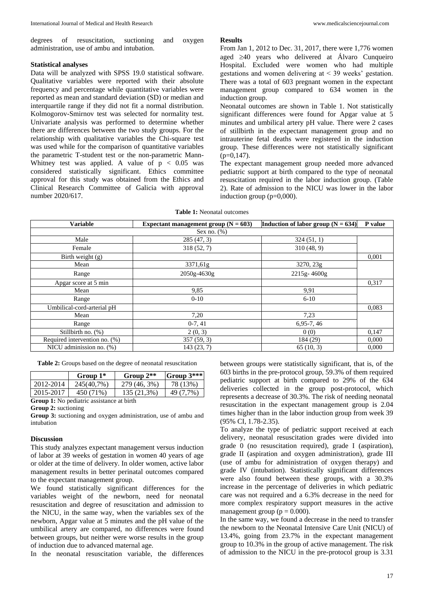degrees of resuscitation, suctioning and oxygen administration, use of ambu and intubation.

#### **Statistical analyses**

Data will be analyzed with SPSS 19.0 statistical software. Qualitative variables were reported with their absolute frequency and percentage while quantitative variables were reported as mean and standard deviation (SD) or median and interquartile range if they did not fit a normal distribution. Kolmogorov-Smirnov test was selected for normality test. Univariate analysis was performed to determine whether there are differences between the two study groups. For the relationship with qualitative variables the Chi-square test was used while for the comparison of quantitative variables the parametric T-student test or the non-parametric Mann-Whitney test was applied. A value of  $p < 0.05$  was considered statistically significant. Ethics committee approval for this study was obtained from the Ethics and Clinical Research Committee of Galicia with approval number 2020/617.

#### **Results**

From Jan 1, 2012 to Dec. 31, 2017, there were 1,776 women aged  $\geq 40$  years who delivered at Álvaro Cunqueiro Hospital. Excluded were women who had multiple gestations and women delivering at < 39 weeks' gestation. There was a total of 603 pregnant women in the expectant management group compared to 634 women in the induction group.

Neonatal outcomes are shown in Table 1. Not statistically significant differences were found for Apgar value at 5 minutes and umbilical artery pH value. There were 2 cases of stillbirth in the expectant management group and no intrauterine fetal deaths were registered in the induction group. These differences were not statistically significant  $(p=0,147)$ .

The expectant management group needed more advanced pediatric support at birth compared to the type of neonatal resuscitation required in the labor induction group. (Table 2). Rate of admission to the NICU was lower in the labor induction group  $(p=0,000)$ .

| <b>Variable</b>               | Expectant management group ( $N = 603$ ) | Induction of labor group $(N = 634)$ | P value |  |
|-------------------------------|------------------------------------------|--------------------------------------|---------|--|
| Sex no. $(\%)$                |                                          |                                      |         |  |
| Male                          | 285(47, 3)                               | 324(51, 1)                           |         |  |
| Female                        | 318 (52, 7)                              | 310(48, 9)                           |         |  |
| Birth weight (g)              |                                          |                                      | 0,001   |  |
| Mean                          | 3371,61g                                 | 3270, 23g                            |         |  |
| Range                         | 2050g-4630g                              | 2215g-4600g                          |         |  |
| Apgar score at 5 min          |                                          |                                      | 0,317   |  |
| Mean                          | 9,85                                     | 9,91                                 |         |  |
| Range                         | $0 - 10$                                 | $6 - 10$                             |         |  |
| Umbilical-cord-arterial pH    |                                          |                                      | 0,083   |  |
| Mean                          | 7,20                                     | 7,23                                 |         |  |
| Range                         | $0-7, 41$                                | $6,95-7,46$                          |         |  |
| Stillbirth no. (%)            | 2(0, 3)                                  | 0(0)                                 | 0,147   |  |
| Required intervention no. (%) | 357(59, 3)                               | 184 (29)                             | 0.000   |  |
| NICU adminission no. (%)      | 143 (23, 7)                              | 65(10, 3)                            | 0.000   |  |

**Table 1:** Neonatal outcomes

**Table 2:** Groups based on the degree of neonatal resuscitation

|                                                  | Group $1^*$ | Group $2**$  | $ Group 3*** $ |  |  |
|--------------------------------------------------|-------------|--------------|----------------|--|--|
| 2012-2014                                        | 245(40,7%)  | 279 (46, 3%) | 78 (13%)       |  |  |
| 2015-2017                                        | 450 (71%)   | 135 (21,3%)  | 49 (7.7%)      |  |  |
| <b>Group 1:</b> No pediatric assistance at birth |             |              |                |  |  |

**Group 2:** suctioning

**Group 3:** suctioning and oxygen administration, use of ambu and intubation

### **Discussion**

This study analyzes expectant management versus induction of labor at 39 weeks of gestation in women 40 years of age or older at the time of delivery. In older women, active labor management results in better perinatal outcomes compared to the expectant management group.

We found statistically significant differences for the variables weight of the newborn, need for neonatal resuscitation and degree of resuscitation and admission to the NICU, in the same way, when the variables sex of the newborn, Apgar value at 5 minutes and the pH value of the umbilical artery are compared, no differences were found between groups, but neither were worse results in the group of induction due to advanced maternal age.

In the neonatal resuscitation variable, the differences

between groups were statistically significant, that is, of the 603 births in the pre-protocol group, 59.3% of them required pediatric support at birth compared to 29% of the 634 deliveries collected in the group post-protocol, which represents a decrease of 30.3%. The risk of needing neonatal resuscitation in the expectant management group is 2.04 times higher than in the labor induction group from week 39 (95% CI, 1.78-2.35).

To analyze the type of pediatric support received at each delivery, neonatal resuscitation grades were divided into grade 0 (no resuscitation required), grade I (aspiration), grade II (aspiration and oxygen administration), grade III (use of ambu for administration of oxygen therapy) and grade IV (intubation). Statistically significant differences were also found between these groups, with a 30.3% increase in the percentage of deliveries in which pediatric care was not required and a 6.3% decrease in the need for more complex respiratory support measures in the active management group ( $p = 0.000$ ).

In the same way, we found a decrease in the need to transfer the newborn to the Neonatal Intensive Care Unit (NICU) of 13.4%, going from 23.7% in the expectant management group to 10.3% in the group of active management. The risk of admission to the NICU in the pre-protocol group is 3.31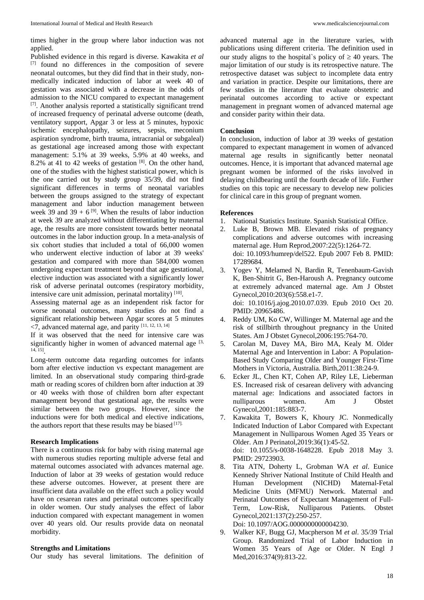times higher in the group where labor induction was not applied.

Published evidence in this regard is diverse. Kawakita *et al* [7] found no differences in the composition of severe neonatal outcomes, but they did find that in their study, nonmedically indicated induction of labor at week 40 of gestation was associated with a decrease in the odds of admission to the NICU compared to expectant management [7]. Another analysis reported a statistically significant trend of increased frequency of perinatal adverse outcome (death, ventilatory support, Apgar 3 or less at 5 minutes, hypoxic ischemic encephalopathy, seizures, sepsis, meconium aspiration syndrome, birth trauma, intracranial or subgaleal) as gestational age increased among those with expectant management: 5.1% at 39 weeks, 5.9% at 40 weeks, and 8.2% at 41 to 42 weeks of gestation  $[8]$ . On the other hand, one of the studies with the highest statistical power, which is the one carried out by study group 35/39, did not find significant differences in terms of neonatal variables between the groups assigned to the strategy of expectant management and labor induction management between week 39 and 39 +  $6^{9}$ . When the results of labor induction at week 39 are analyzed without differentiating by maternal age, the results are more consistent towards better neonatal outcomes in the labor induction group. In a meta-analysis of six cohort studies that included a total of 66,000 women who underwent elective induction of labor at 39 weeks' gestation and compared with more than 584,000 women undergoing expectant treatment beyond that age gestational, elective induction was associated with a significantly lower risk of adverse perinatal outcomes (respiratory morbidity, intensive care unit admission, perinatal mortality)<sup>[10]</sup>.

Assessing maternal age as an independent risk factor for worse neonatal outcomes, many studies do not find a significant relationship between Apgar scores at 5 minutes  $\langle 7,$  advanced maternal age, and parity  $[11, 12, 13, 14]$ 

If it was observed that the need for intensive care was significantly higher in women of advanced maternal age  $[3, 1]$ 14, 15] .

Long-term outcome data regarding outcomes for infants born after elective induction vs expectant management are limited. In an observational study comparing third-grade math or reading scores of children born after induction at 39 or 40 weeks with those of children born after expectant management beyond that gestational age, the results were similar between the two groups. However, since the inductions were for both medical and elective indications, the authors report that these results may be biased  $[17]$ .

#### **Research Implications**

There is a continuous risk for baby with rising maternal age with numerous studies reporting multiple adverse fetal and maternal outcomes associated with advances maternal age. Induction of labor at 39 weeks of gestation would reduce these adverse outcomes. However, at present there are insufficient data available on the effect such a policy would have on cesarean rates and perinatal outcomes specifically in older women. Our study analyses the effect of labor induction compared with expectant management in women over 40 years old. Our results provide data on neonatal morbidity.

### **Strengths and Limitations**

Our study has several limitations. The definition of

advanced maternal age in the literature varies, with publications using different criteria. The definition used in our study aligns to the hospital's policy of  $\geq 40$  years. The major limitation of our study is its retrospective nature. The retrospective dataset was subject to incomplete data entry and variation in practice. Despite our limitations, there are few studies in the literature that evaluate obstetric and perinatal outcomes according to active or expectant management in pregnant women of advanced maternal age and consider parity within their data.

### **Conclusion**

In conclusion, induction of labor at 39 weeks of gestation compared to expectant management in women of advanced maternal age results in significantly better neonatal outcomes. Hence, it is important that advanced maternal age pregnant women be informed of the risks involved in delaying childbearing until the fourth decade of life. Further studies on this topic are necessary to develop new policies for clinical care in this group of pregnant women.

## **References**

- 1. National Statistics Institute. Spanish Statistical Office.
- 2. Luke B, Brown MB. Elevated risks of pregnancy complications and adverse outcomes with increasing maternal age. Hum Reprod,2007:22(5):1264-72. doi: 10.1093/humrep/del522. Epub 2007 Feb 8. PMID: 17289684.
- 3. Yogev Y, Melamed N, Bardin R, Tenenbaum-Gavish K, Ben-Shitrit G, Ben-Haroush A. Pregnancy outcome at extremely advanced maternal age. Am J Obstet Gynecol,2010:203(6):558.e1-7. doi: 10.1016/j.ajog.2010.07.039. Epub 2010 Oct 20. PMID: 20965486.
- 4. Reddy UM, Ko CW, Willinger M. Maternal age and the risk of stillbirth throughout pregnancy in the United States. Am J Obstet Gynecol,2006:195:764-70.
- 5. Carolan M, Davey MA, Biro MA, Kealy M. Older Maternal Age and Intervention in Labor: A Population-Based Study Comparing Older and Younger First-Time Mothers in Victoria, Australia. Birth,2011:38:24-9.
- 6. Ecker JL, Chen KT, Cohen AP, Riley LE, Lieberman ES. Increased risk of cesarean delivery with advancing maternal age: Indications and associated factors in nulliparous women. Am J Obstet Gynecol,2001:185:883-7.
- 7. Kawakita T, Bowers K, Khoury JC. Nonmedically Indicated Induction of Labor Compared with Expectant Management in Nulliparous Women Aged 35 Years or Older. Am J Perinatol,2019:36(1):45-52. doi: 10.1055/s-0038-1648228. Epub 2018 May 3. PMID: 29723903.
- 8. Tita ATN, Doherty L, Grobman WA *et al*. Eunice Kennedy Shriver National Institute of Child Health and Human Development (NICHD) Maternal-Fetal Medicine Units (MFMU) Network. Maternal and Perinatal Outcomes of Expectant Management of Full-Term, Low-Risk, Nulliparous Patients. Obstet Gynecol,2021:137(2):250-257. Doi: 10.1097/AOG.0000000000004230.
- 9. Walker KF, Bugg GJ, Macpherson M *et al*. 35/39 Trial Group. Randomized Trial of Labor Induction in Women 35 Years of Age or Older. N Engl J Med,2016:374(9):813-22.